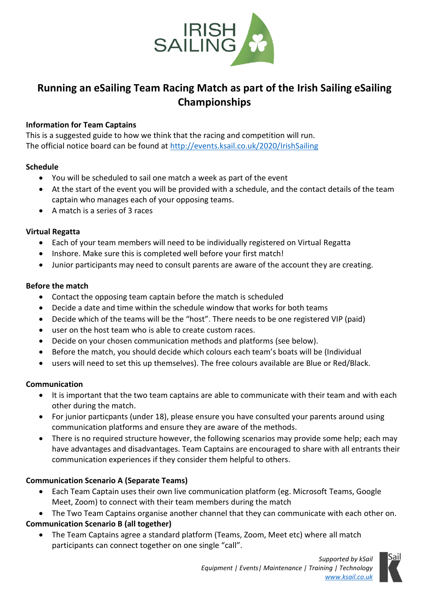

# **Running an eSailing Team Racing Match as part of the Irish Sailing eSailing Championships**

#### **Information for Team Captains**

This is a suggested guide to how we think that the racing and competition will run. The official notice board can be found at<http://events.ksail.co.uk/2020/IrishSailing>

#### **Schedule**

- You will be scheduled to sail one match a week as part of the event
- At the start of the event you will be provided with a schedule, and the contact details of the team captain who manages each of your opposing teams.
- A match is a series of 3 races

## **Virtual Regatta**

- Each of your team members will need to be individually registered on Virtual Regatta
- Inshore. Make sure this is completed well before your first match!
- Junior participants may need to consult parents are aware of the account they are creating.

## **Before the match**

- Contact the opposing team captain before the match is scheduled
- Decide a date and time within the schedule window that works for both teams
- Decide which of the teams will be the "host". There needs to be one registered VIP (paid)
- user on the host team who is able to create custom races.
- Decide on your chosen communication methods and platforms (see below).
- Before the match, you should decide which colours each team's boats will be (Individual
- users will need to set this up themselves). The free colours available are Blue or Red/Black.

#### **Communication**

- It is important that the two team captains are able to communicate with their team and with each other during the match.
- For junior particpants (under 18), please ensure you have consulted your parents around using communication platforms and ensure they are aware of the methods.
- There is no required structure however, the following scenarios may provide some help; each may have advantages and disadvantages. Team Captains are encouraged to share with all entrants their communication experiences if they consider them helpful to others.

# **Communication Scenario A (Separate Teams)**

- Each Team Captain uses their own live communication platform (eg. Microsoft Teams, Google Meet, Zoom) to connect with their team members during the match
- The Two Team Captains organise another channel that they can communicate with each other on.

# **Communication Scenario B (all together)**

• The Team Captains agree a standard platform (Teams, Zoom, Meet etc) where all match participants can connect together on one single "call".